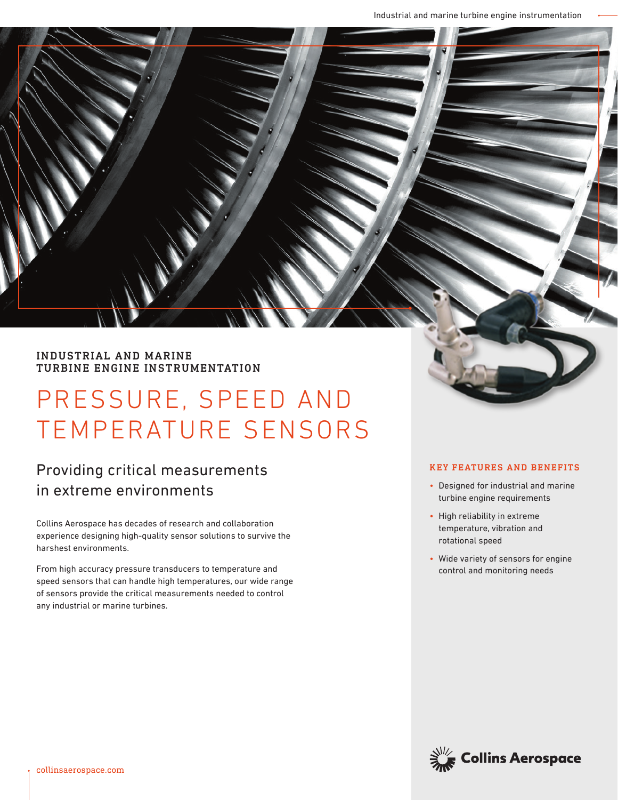# INDUSTRIAL AND MARINE TURBINE ENGINE INSTRUMENTATION

# PRESSURE, SPEED AND TEMPERATURE SENSORS

# Providing critical measurements in extreme environments

Collins Aerospace has decades of research and collaboration experience designing high-quality sensor solutions to survive the harshest environments.

From high accuracy pressure transducers to temperature and speed sensors that can handle high temperatures, our wide range of sensors provide the critical measurements needed to control any industrial or marine turbines.

# KEY FEATURES AND BENEFITS

- Designed for industrial and marine turbine engine requirements
- High reliability in extreme temperature, vibration and rotational speed
- Wide variety of sensors for engine control and monitoring needs